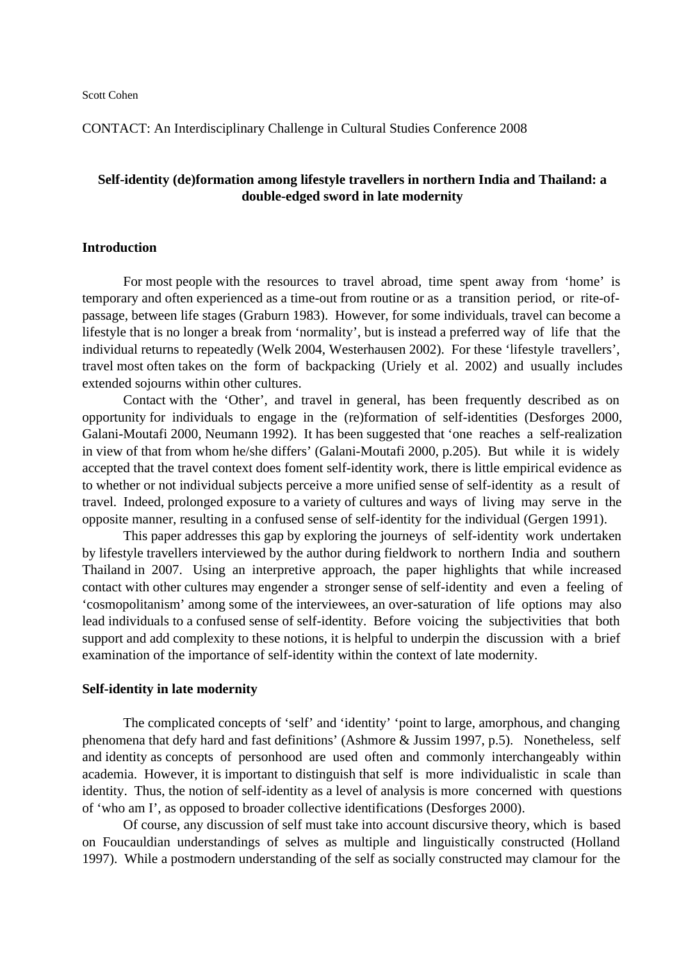### CONTACT: An Interdisciplinary Challenge in Cultural Studies Conference 2008

# **Self-identity (de)formation among lifestyle travellers in northern India and Thailand: a double-edged sword in late modernity**

### **Introduction**

 For most people with the resources to travel abroad, time spent away from 'home' is temporary and often experienced as a time-out from routine or as a transition period, or rite-ofpassage, between life stages (Graburn 1983). However, for some individuals, travel can become a lifestyle that is no longer a break from 'normality', but is instead a preferred way of life that the individual returns to repeatedly (Welk 2004, Westerhausen 2002). For these 'lifestyle travellers', travel most often takes on the form of backpacking (Uriely et al. 2002) and usually includes extended sojourns within other cultures.

Contact with the 'Other', and travel in general, has been frequently described as on opportunity for individuals to engage in the (re)formation of self-identities (Desforges 2000, Galani-Moutafi 2000, Neumann 1992). It has been suggested that 'one reaches a self-realization in view of that from whom he/she differs' (Galani-Moutafi 2000, p.205). But while it is widely accepted that the travel context does foment self-identity work, there is little empirical evidence as to whether or not individual subjects perceive a more unified sense of self-identity as a result of travel. Indeed, prolonged exposure to a variety of cultures and ways of living may serve in the opposite manner, resulting in a confused sense of self-identity for the individual (Gergen 1991).

This paper addresses this gap by exploring the journeys of self-identity work undertaken by lifestyle travellers interviewed by the author during fieldwork to northern India and southern Thailand in 2007. Using an interpretive approach, the paper highlights that while increased contact with other cultures may engender a stronger sense of self-identity and even a feeling of 'cosmopolitanism' among some of the interviewees, an over-saturation of life options may also lead individuals to a confused sense of self-identity. Before voicing the subjectivities that both support and add complexity to these notions, it is helpful to underpin the discussion with a brief examination of the importance of self-identity within the context of late modernity.

#### **Self-identity in late modernity**

 The complicated concepts of 'self' and 'identity' 'point to large, amorphous, and changing phenomena that defy hard and fast definitions' (Ashmore & Jussim 1997, p.5). Nonetheless, self and identity as concepts of personhood are used often and commonly interchangeably within academia. However, it is important to distinguish that self is more individualistic in scale than identity. Thus, the notion of self-identity as a level of analysis is more concerned with questions of 'who am I', as opposed to broader collective identifications (Desforges 2000).

 Of course, any discussion of self must take into account discursive theory, which is based on Foucauldian understandings of selves as multiple and linguistically constructed (Holland 1997). While a postmodern understanding of the self as socially constructed may clamour for the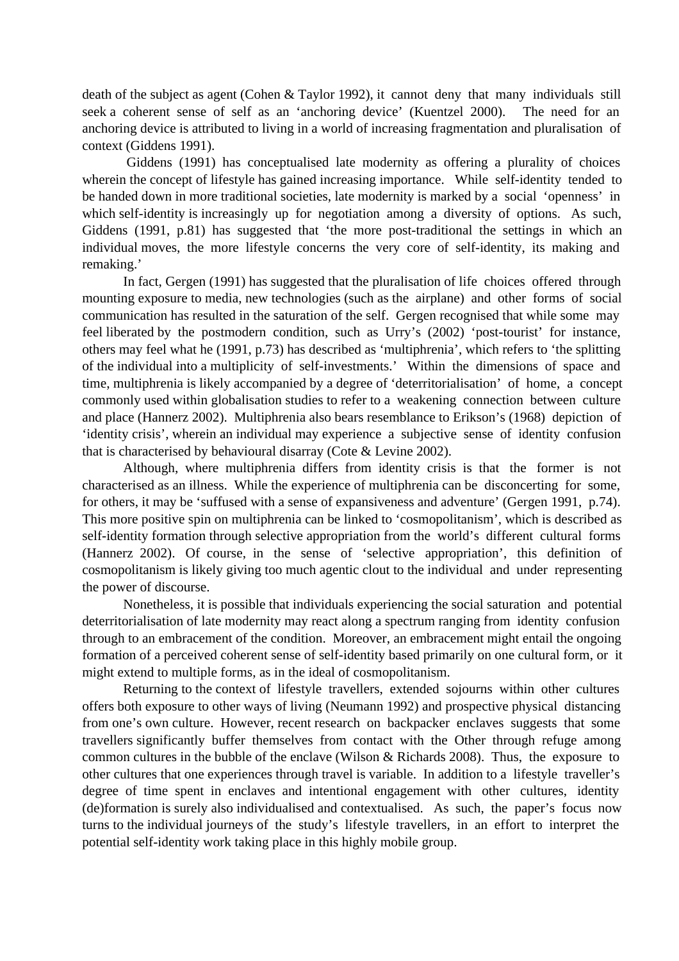death of the subject as agent (Cohen & Taylor 1992), it cannot deny that many individuals still seek a coherent sense of self as an 'anchoring device' (Kuentzel 2000). The need for an anchoring device is attributed to living in a world of increasing fragmentation and pluralisation of context (Giddens 1991).

 Giddens (1991) has conceptualised late modernity as offering a plurality of choices wherein the concept of lifestyle has gained increasing importance. While self-identity tended to be handed down in more traditional societies, late modernity is marked by a social 'openness' in which self-identity is increasingly up for negotiation among a diversity of options. As such, Giddens (1991, p.81) has suggested that 'the more post-traditional the settings in which an individual moves, the more lifestyle concerns the very core of self-identity, its making and remaking.'

In fact, Gergen (1991) has suggested that the pluralisation of life choices offered through mounting exposure to media, new technologies (such as the airplane) and other forms of social communication has resulted in the saturation of the self. Gergen recognised that while some may feel liberated by the postmodern condition, such as Urry's (2002) 'post-tourist' for instance, others may feel what he (1991, p.73) has described as 'multiphrenia', which refers to 'the splitting of the individual into a multiplicity of self-investments.' Within the dimensions of space and time, multiphrenia is likely accompanied by a degree of 'deterritorialisation' of home, a concept commonly used within globalisation studies to refer to a weakening connection between culture and place (Hannerz 2002). Multiphrenia also bears resemblance to Erikson's (1968) depiction of 'identity crisis', wherein an individual may experience a subjective sense of identity confusion that is characterised by behavioural disarray (Cote & Levine 2002).

Although, where multiphrenia differs from identity crisis is that the former is not characterised as an illness. While the experience of multiphrenia can be disconcerting for some, for others, it may be 'suffused with a sense of expansiveness and adventure' (Gergen 1991, p.74). This more positive spin on multiphrenia can be linked to 'cosmopolitanism', which is described as self-identity formation through selective appropriation from the world's different cultural forms (Hannerz 2002). Of course, in the sense of 'selective appropriation', this definition of cosmopolitanism is likely giving too much agentic clout to the individual and under representing the power of discourse.

Nonetheless, it is possible that individuals experiencing the social saturation and potential deterritorialisation of late modernity may react along a spectrum ranging from identity confusion through to an embracement of the condition. Moreover, an embracement might entail the ongoing formation of a perceived coherent sense of self-identity based primarily on one cultural form, or it might extend to multiple forms, as in the ideal of cosmopolitanism.

 Returning to the context of lifestyle travellers, extended sojourns within other cultures offers both exposure to other ways of living (Neumann 1992) and prospective physical distancing from one's own culture. However, recent research on backpacker enclaves suggests that some travellers significantly buffer themselves from contact with the Other through refuge among common cultures in the bubble of the enclave (Wilson & Richards 2008). Thus, the exposure to other cultures that one experiences through travel is variable. In addition to a lifestyle traveller's degree of time spent in enclaves and intentional engagement with other cultures, identity (de)formation is surely also individualised and contextualised. As such, the paper's focus now turns to the individual journeys of the study's lifestyle travellers, in an effort to interpret the potential self-identity work taking place in this highly mobile group.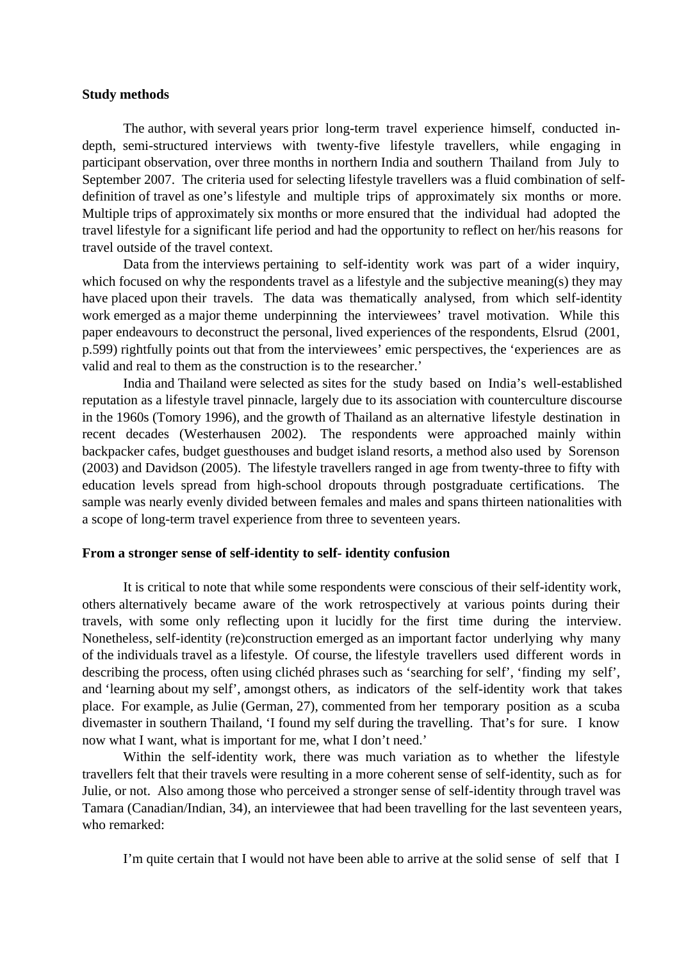### **Study methods**

The author, with several years prior long-term travel experience himself, conducted indepth, semi-structured interviews with twenty-five lifestyle travellers, while engaging in participant observation, over three months in northern India and southern Thailand from July to September 2007. The criteria used for selecting lifestyle travellers was a fluid combination of selfdefinition of travel as one's lifestyle and multiple trips of approximately six months or more. Multiple trips of approximately six months or more ensured that the individual had adopted the travel lifestyle for a significant life period and had the opportunity to reflect on her/his reasons for travel outside of the travel context.

Data from the interviews pertaining to self-identity work was part of a wider inquiry, which focused on why the respondents travel as a lifestyle and the subjective meaning(s) they may have placed upon their travels. The data was thematically analysed, from which self-identity work emerged as a major theme underpinning the interviewees' travel motivation. While this paper endeavours to deconstruct the personal, lived experiences of the respondents, Elsrud (2001, p.599) rightfully points out that from the interviewees' emic perspectives, the 'experiences are as valid and real to them as the construction is to the researcher.'

India and Thailand were selected as sites for the study based on India's well-established reputation as a lifestyle travel pinnacle, largely due to its association with counterculture discourse in the 1960s (Tomory 1996), and the growth of Thailand as an alternative lifestyle destination in recent decades (Westerhausen 2002). The respondents were approached mainly within backpacker cafes, budget guesthouses and budget island resorts, a method also used by Sorenson (2003) and Davidson (2005). The lifestyle travellers ranged in age from twenty-three to fifty with education levels spread from high-school dropouts through postgraduate certifications. The sample was nearly evenly divided between females and males and spans thirteen nationalities with a scope of long-term travel experience from three to seventeen years.

#### **From a stronger sense of self-identity to self- identity confusion**

It is critical to note that while some respondents were conscious of their self-identity work, others alternatively became aware of the work retrospectively at various points during their travels, with some only reflecting upon it lucidly for the first time during the interview. Nonetheless, self-identity (re)construction emerged as an important factor underlying why many of the individuals travel as a lifestyle. Of course, the lifestyle travellers used different words in describing the process, often using clichéd phrases such as 'searching for self', 'finding my self', and 'learning about my self', amongst others, as indicators of the self-identity work that takes place. For example, as Julie (German, 27), commented from her temporary position as a scuba divemaster in southern Thailand, 'I found my self during the travelling. That's for sure. I know now what I want, what is important for me, what I don't need.'

Within the self-identity work, there was much variation as to whether the lifestyle travellers felt that their travels were resulting in a more coherent sense of self-identity, such as for Julie, or not. Also among those who perceived a stronger sense of self-identity through travel was Tamara (Canadian/Indian, 34), an interviewee that had been travelling for the last seventeen years, who remarked:

I'm quite certain that I would not have been able to arrive at the solid sense of self that I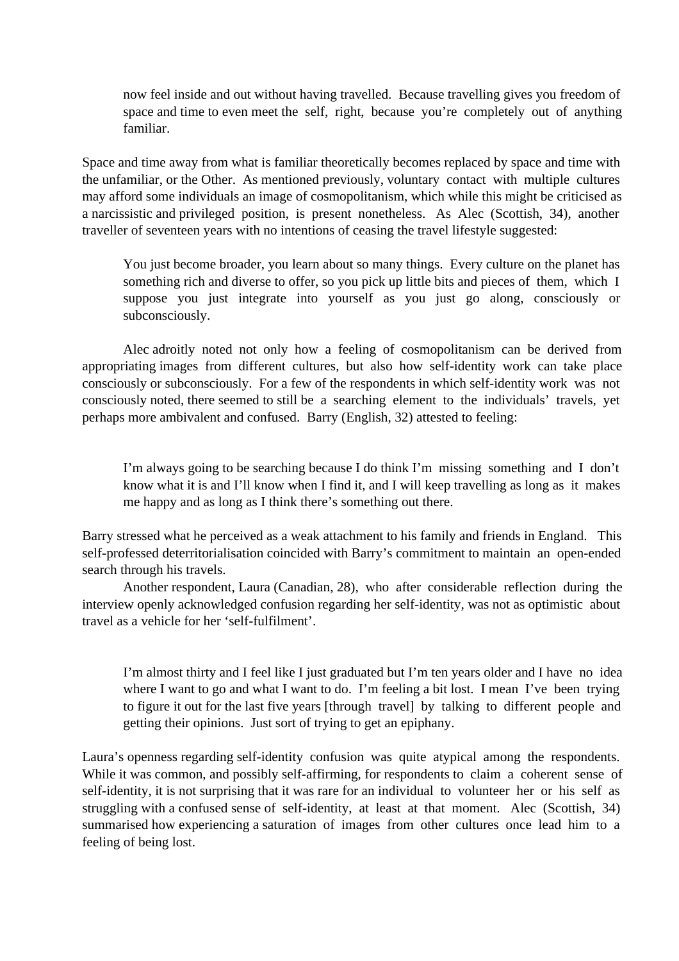now feel inside and out without having travelled. Because travelling gives you freedom of space and time to even meet the self, right, because you're completely out of anything familiar.

Space and time away from what is familiar theoretically becomes replaced by space and time with the unfamiliar, or the Other. As mentioned previously, voluntary contact with multiple cultures may afford some individuals an image of cosmopolitanism, which while this might be criticised as a narcissistic and privileged position, is present nonetheless. As Alec (Scottish, 34), another traveller of seventeen years with no intentions of ceasing the travel lifestyle suggested:

You just become broader, you learn about so many things. Every culture on the planet has something rich and diverse to offer, so you pick up little bits and pieces of them, which I suppose you just integrate into yourself as you just go along, consciously or subconsciously.

 Alec adroitly noted not only how a feeling of cosmopolitanism can be derived from appropriating images from different cultures, but also how self-identity work can take place consciously or subconsciously. For a few of the respondents in which self-identity work was not consciously noted, there seemed to still be a searching element to the individuals' travels, yet perhaps more ambivalent and confused. Barry (English, 32) attested to feeling:

I'm always going to be searching because I do think I'm missing something and I don't know what it is and I'll know when I find it, and I will keep travelling as long as it makes me happy and as long as I think there's something out there.

Barry stressed what he perceived as a weak attachment to his family and friends in England. This self-professed deterritorialisation coincided with Barry's commitment to maintain an open-ended search through his travels.

Another respondent, Laura (Canadian, 28), who after considerable reflection during the interview openly acknowledged confusion regarding her self-identity, was not as optimistic about travel as a vehicle for her 'self-fulfilment'.

I'm almost thirty and I feel like I just graduated but I'm ten years older and I have no idea where I want to go and what I want to do. I'm feeling a bit lost. I mean I've been trying to figure it out for the last five years [through travel] by talking to different people and getting their opinions. Just sort of trying to get an epiphany.

Laura's openness regarding self-identity confusion was quite atypical among the respondents. While it was common, and possibly self-affirming, for respondents to claim a coherent sense of self-identity, it is not surprising that it was rare for an individual to volunteer her or his self as struggling with a confused sense of self-identity, at least at that moment. Alec (Scottish, 34) summarised how experiencing a saturation of images from other cultures once lead him to a feeling of being lost.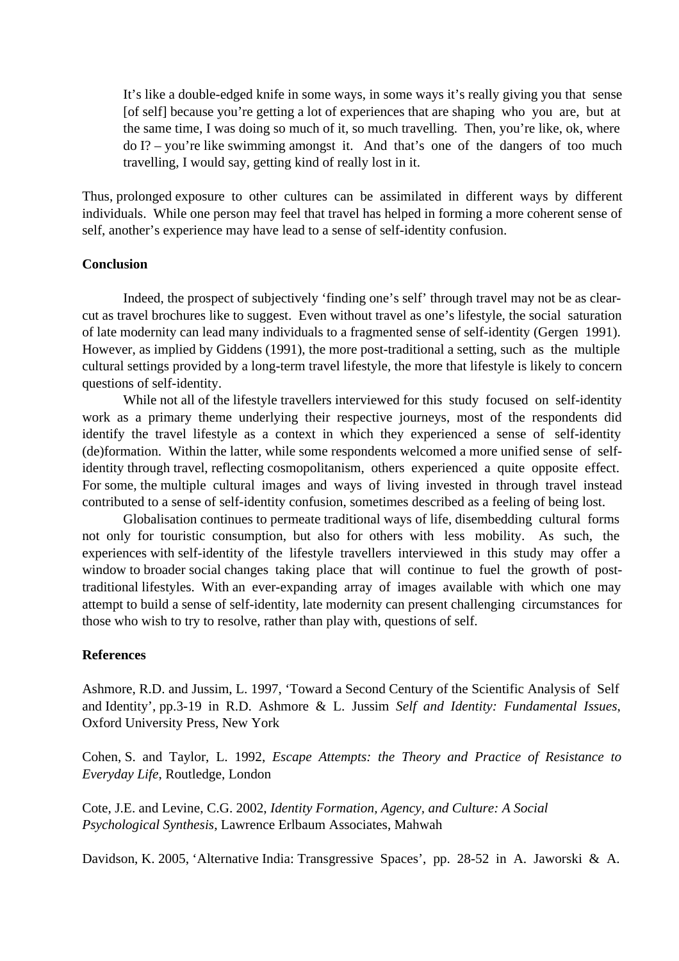It's like a double-edged knife in some ways, in some ways it's really giving you that sense [of self] because you're getting a lot of experiences that are shaping who you are, but at the same time, I was doing so much of it, so much travelling. Then, you're like, ok, where do I? – you're like swimming amongst it. And that's one of the dangers of too much travelling, I would say, getting kind of really lost in it.

Thus, prolonged exposure to other cultures can be assimilated in different ways by different individuals. While one person may feel that travel has helped in forming a more coherent sense of self, another's experience may have lead to a sense of self-identity confusion.

## **Conclusion**

Indeed, the prospect of subjectively 'finding one's self' through travel may not be as clearcut as travel brochures like to suggest. Even without travel as one's lifestyle, the social saturation of late modernity can lead many individuals to a fragmented sense of self-identity (Gergen 1991). However, as implied by Giddens (1991), the more post-traditional a setting, such as the multiple cultural settings provided by a long-term travel lifestyle, the more that lifestyle is likely to concern questions of self-identity.

While not all of the lifestyle travellers interviewed for this study focused on self-identity work as a primary theme underlying their respective journeys, most of the respondents did identify the travel lifestyle as a context in which they experienced a sense of self-identity (de)formation. Within the latter, while some respondents welcomed a more unified sense of selfidentity through travel, reflecting cosmopolitanism, others experienced a quite opposite effect. For some, the multiple cultural images and ways of living invested in through travel instead contributed to a sense of self-identity confusion, sometimes described as a feeling of being lost.

Globalisation continues to permeate traditional ways of life, disembedding cultural forms not only for touristic consumption, but also for others with less mobility. As such, the experiences with self-identity of the lifestyle travellers interviewed in this study may offer a window to broader social changes taking place that will continue to fuel the growth of posttraditional lifestyles. With an ever-expanding array of images available with which one may attempt to build a sense of self-identity, late modernity can present challenging circumstances for those who wish to try to resolve, rather than play with, questions of self.

# **References**

Ashmore, R.D. and Jussim, L. 1997, 'Toward a Second Century of the Scientific Analysis of Self and Identity', pp.3-19 in R.D. Ashmore & L. Jussim *Self and Identity: Fundamental Issues*, Oxford University Press, New York

Cohen, S. and Taylor, L. 1992, *Escape Attempts: the Theory and Practice of Resistance to Everyday Life*, Routledge, London

Cote, J.E. and Levine, C.G. 2002, *Identity Formation, Agency, and Culture: A Social Psychological Synthesis*, Lawrence Erlbaum Associates, Mahwah

Davidson, K. 2005, 'Alternative India: Transgressive Spaces', pp. 28-52 in A. Jaworski & A.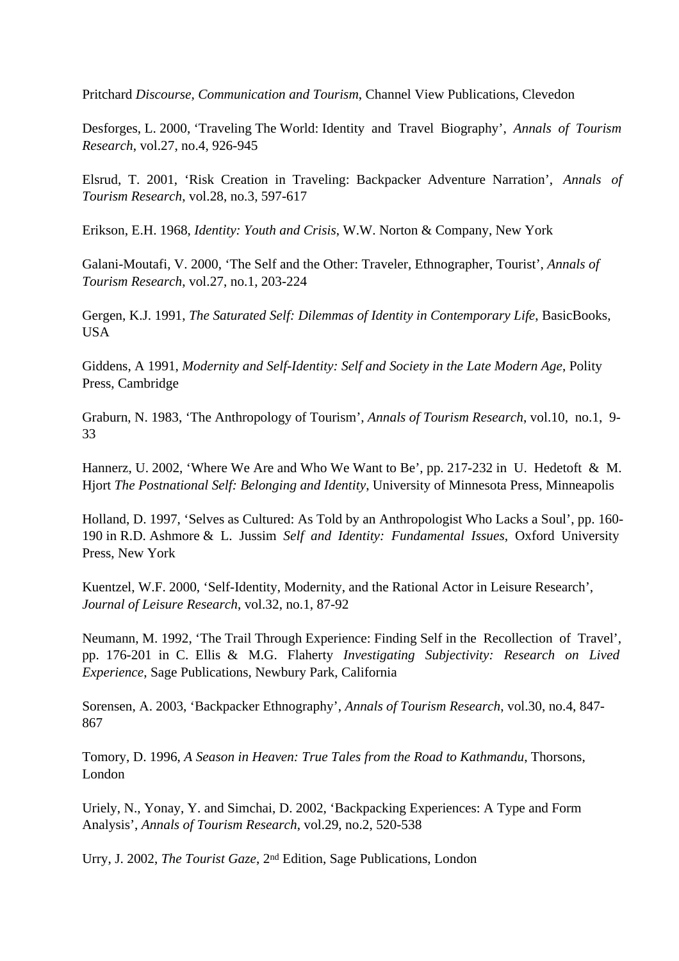Pritchard *Discourse, Communication and Tourism*, Channel View Publications, Clevedon

Desforges, L. 2000, 'Traveling The World: Identity and Travel Biography', *Annals of Tourism Research*, vol.27, no.4, 926-945

Elsrud, T. 2001, 'Risk Creation in Traveling: Backpacker Adventure Narration', *Annals of Tourism Research*, vol.28, no.3, 597-617

Erikson, E.H. 1968, *Identity: Youth and Crisis*, W.W. Norton & Company, New York

Galani-Moutafi, V. 2000, 'The Self and the Other: Traveler, Ethnographer, Tourist', *Annals of Tourism Research*, vol.27, no.1, 203-224

Gergen, K.J. 1991, *The Saturated Self: Dilemmas of Identity in Contemporary Life*, BasicBooks, **USA** 

Giddens, A 1991, *Modernity and Self-Identity: Self and Society in the Late Modern Age*, Polity Press, Cambridge

Graburn, N. 1983, 'The Anthropology of Tourism', *Annals of Tourism Research*, vol.10, no.1, 9- 33

Hannerz, U. 2002, 'Where We Are and Who We Want to Be', pp. 217-232 in U. Hedetoft & M. Hjort *The Postnational Self: Belonging and Identity*, University of Minnesota Press, Minneapolis

Holland, D. 1997, 'Selves as Cultured: As Told by an Anthropologist Who Lacks a Soul', pp. 160- 190 in R.D. Ashmore & L. Jussim *Self and Identity: Fundamental Issues*, Oxford University Press, New York

Kuentzel, W.F. 2000, 'Self-Identity, Modernity, and the Rational Actor in Leisure Research', *Journal of Leisure Research*, vol.32, no.1, 87-92

Neumann, M. 1992, 'The Trail Through Experience: Finding Self in the Recollection of Travel', pp. 176-201 in C. Ellis & M.G. Flaherty *Investigating Subjectivity: Research on Lived Experience*, Sage Publications, Newbury Park, California

Sorensen, A. 2003, 'Backpacker Ethnography', *Annals of Tourism Research*, vol.30, no.4, 847- 867

Tomory, D. 1996, *A Season in Heaven: True Tales from the Road to Kathmandu*, Thorsons, London

Uriely, N., Yonay, Y. and Simchai, D. 2002, 'Backpacking Experiences: A Type and Form Analysis', *Annals of Tourism Research*, vol.29, no.2, 520-538

Urry, J. 2002, *The Tourist Gaze*, 2nd Edition, Sage Publications, London